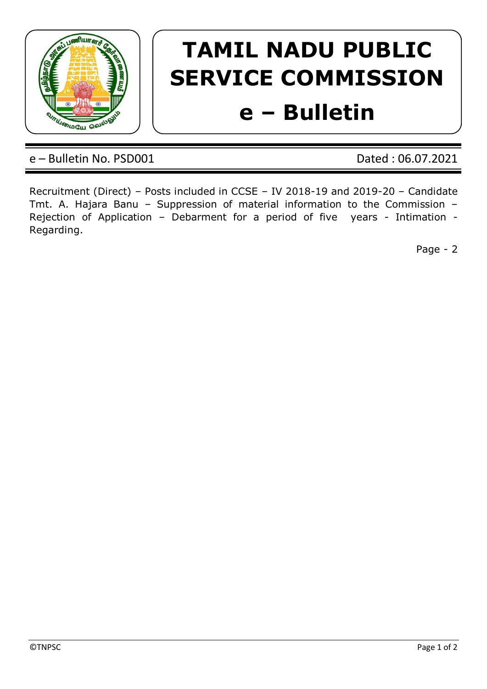

## **TAMIL NADU PUBLIC SERVICE COMMISSION e – Bulletin**

e – Bulletin No. PSD001 Dated : 06.07.2021

Recruitment (Direct) – Posts included in CCSE – IV 2018-19 and 2019-20 – Candidate Tmt. A. Hajara Banu – Suppression of material information to the Commission – Rejection of Application – Debarment for a period of five years - Intimation - Regarding.

Page - 2